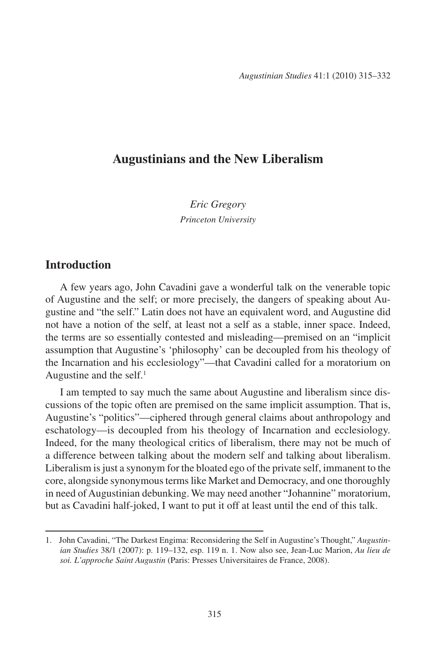## **Augustinians and the New Liberalism**

*Eric Gregory Princeton University*

## **Introduction**

A few years ago, John Cavadini gave a wonderful talk on the venerable topic of Augustine and the self; or more precisely, the dangers of speaking about Augustine and "the self." Latin does not have an equivalent word, and Augustine did not have a notion of the self, at least not a self as a stable, inner space. Indeed, the terms are so essentially contested and misleading—premised on an "implicit assumption that Augustine's 'philosophy' can be decoupled from his theology of the Incarnation and his ecclesiology"—that Cavadini called for a moratorium on Augustine and the self. $<sup>1</sup>$ </sup>

I am tempted to say much the same about Augustine and liberalism since discussions of the topic often are premised on the same implicit assumption. That is, Augustine's "politics"—ciphered through general claims about anthropology and eschatology—is decoupled from his theology of Incarnation and ecclesiology. Indeed, for the many theological critics of liberalism, there may not be much of a difference between talking about the modern self and talking about liberalism. Liberalism is just a synonym for the bloated ego of the private self, immanent to the core, alongside synonymous terms like Market and Democracy, and one thoroughly in need of Augustinian debunking. We may need another "Johannine" moratorium, but as Cavadini half-joked, I want to put it off at least until the end of this talk.

<sup>1.</sup> John Cavadini, "The Darkest Engima: Reconsidering the Self in Augustine's Thought," *Augustinian Studies* 38/1 (2007): p. 119–132, esp. 119 n. 1. Now also see, Jean-Luc Marion, *Au lieu de soi. L'approche Saint Augustin* (Paris: Presses Universitaires de France, 2008).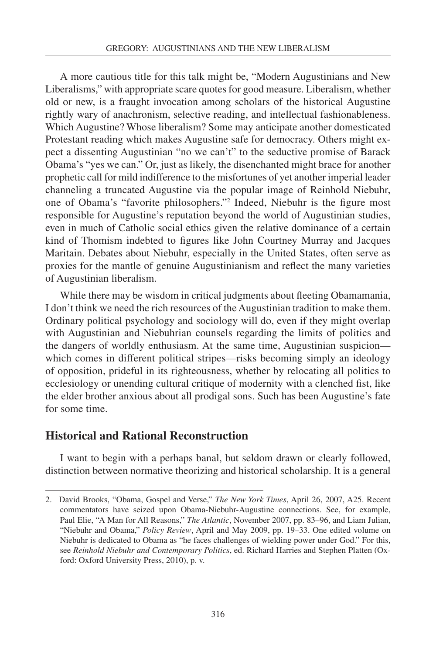A more cautious title for this talk might be, "Modern Augustinians and New Liberalisms," with appropriate scare quotes for good measure. Liberalism, whether old or new, is a fraught invocation among scholars of the historical Augustine rightly wary of anachronism, selective reading, and intellectual fashionableness. Which Augustine? Whose liberalism? Some may anticipate another domesticated Protestant reading which makes Augustine safe for democracy. Others might expect a dissenting Augustinian "no we can't" to the seductive promise of Barack Obama's "yes we can." Or, just as likely, the disenchanted might brace for another prophetic call for mild indifference to the misfortunes of yet another imperial leader channeling a truncated Augustine via the popular image of Reinhold Niebuhr, one of Obama's "favorite philosophers."2 Indeed, Niebuhr is the figure most responsible for Augustine's reputation beyond the world of Augustinian studies, even in much of Catholic social ethics given the relative dominance of a certain kind of Thomism indebted to figures like John Courtney Murray and Jacques Maritain. Debates about Niebuhr, especially in the United States, often serve as proxies for the mantle of genuine Augustinianism and reflect the many varieties of Augustinian liberalism.

While there may be wisdom in critical judgments about fleeting Obamamania, I don't think we need the rich resources of the Augustinian tradition to make them. Ordinary political psychology and sociology will do, even if they might overlap with Augustinian and Niebuhrian counsels regarding the limits of politics and the dangers of worldly enthusiasm. At the same time, Augustinian suspicion which comes in different political stripes—risks becoming simply an ideology of opposition, prideful in its righteousness, whether by relocating all politics to ecclesiology or unending cultural critique of modernity with a clenched fist, like the elder brother anxious about all prodigal sons. Such has been Augustine's fate for some time.

# **Historical and Rational Reconstruction**

I want to begin with a perhaps banal, but seldom drawn or clearly followed, distinction between normative theorizing and historical scholarship. It is a general

<sup>2.</sup> David Brooks, "Obama, Gospel and Verse," *The New York Times*, April 26, 2007, A25. Recent commentators have seized upon Obama-Niebuhr-Augustine connections. See, for example, Paul Elie, "A Man for All Reasons," *The Atlantic*, November 2007, pp. 83–96, and Liam Julian, "Niebuhr and Obama," *Policy Review*, April and May 2009, pp. 19–33. One edited volume on Niebuhr is dedicated to Obama as "he faces challenges of wielding power under God." For this, see *Reinhold Niebuhr and Contemporary Politics*, ed. Richard Harries and Stephen Platten (Oxford: Oxford University Press, 2010), p. v.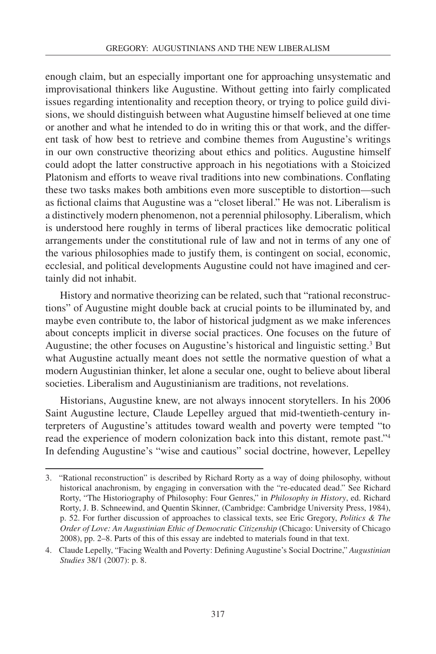enough claim, but an especially important one for approaching unsystematic and improvisational thinkers like Augustine. Without getting into fairly complicated issues regarding intentionality and reception theory, or trying to police guild divisions, we should distinguish between what Augustine himself believed at one time or another and what he intended to do in writing this or that work, and the different task of how best to retrieve and combine themes from Augustine's writings in our own constructive theorizing about ethics and politics. Augustine himself could adopt the latter constructive approach in his negotiations with a Stoicized Platonism and efforts to weave rival traditions into new combinations. Conflating these two tasks makes both ambitions even more susceptible to distortion—such as fictional claims that Augustine was a "closet liberal." He was not. Liberalism is a distinctively modern phenomenon, not a perennial philosophy. Liberalism, which is understood here roughly in terms of liberal practices like democratic political arrangements under the constitutional rule of law and not in terms of any one of the various philosophies made to justify them, is contingent on social, economic, ecclesial, and political developments Augustine could not have imagined and certainly did not inhabit.

History and normative theorizing can be related, such that "rational reconstructions" of Augustine might double back at crucial points to be illuminated by, and maybe even contribute to, the labor of historical judgment as we make inferences about concepts implicit in diverse social practices. One focuses on the future of Augustine; the other focuses on Augustine's historical and linguistic setting.3 But what Augustine actually meant does not settle the normative question of what a modern Augustinian thinker, let alone a secular one, ought to believe about liberal societies. Liberalism and Augustinianism are traditions, not revelations.

Historians, Augustine knew, are not always innocent storytellers. In his 2006 Saint Augustine lecture, Claude Lepelley argued that mid-twentieth-century interpreters of Augustine's attitudes toward wealth and poverty were tempted "to read the experience of modern colonization back into this distant, remote past."4 In defending Augustine's "wise and cautious" social doctrine, however, Lepelley

<sup>3.</sup> "Rational reconstruction" is described by Richard Rorty as a way of doing philosophy, without historical anachronism, by engaging in conversation with the "re-educated dead." See Richard Rorty, "The Historiography of Philosophy: Four Genres," in *Philosophy in History*, ed. Richard Rorty, J. B. Schneewind, and Quentin Skinner, (Cambridge: Cambridge University Press, 1984), p. 52. For further discussion of approaches to classical texts, see Eric Gregory, *Politics & The Order of Love: An Augustinian Ethic of Democratic Citizenship* (Chicago: University of Chicago 2008), pp. 2–8. Parts of this of this essay are indebted to materials found in that text.

<sup>4.</sup> Claude Lepelly, "Facing Wealth and Poverty: Defining Augustine's Social Doctrine," *Augustinian Studies* 38/1 (2007): p. 8.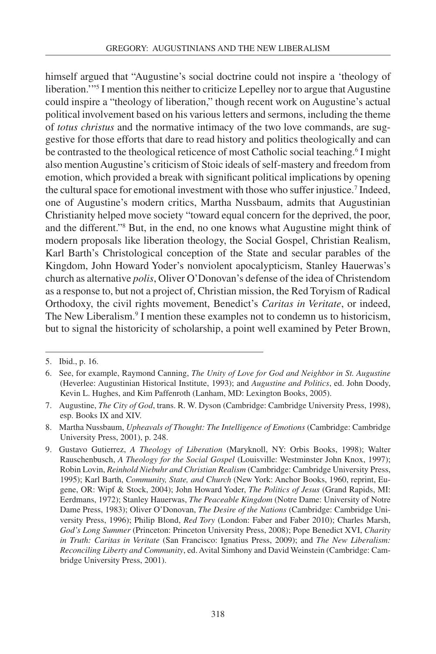himself argued that "Augustine's social doctrine could not inspire a 'theology of liberation.'"5 I mention this neither to criticize Lepelley nor to argue that Augustine could inspire a "theology of liberation," though recent work on Augustine's actual political involvement based on his various letters and sermons, including the theme of *totus christus* and the normative intimacy of the two love commands, are suggestive for those efforts that dare to read history and politics theologically and can be contrasted to the theological reticence of most Catholic social teaching.<sup>6</sup> I might also mention Augustine's criticism of Stoic ideals of self-mastery and freedom from emotion, which provided a break with significant political implications by opening the cultural space for emotional investment with those who suffer injustice.<sup>7</sup> Indeed, one of Augustine's modern critics, Martha Nussbaum, admits that Augustinian Christianity helped move society "toward equal concern for the deprived, the poor, and the different."8 But, in the end, no one knows what Augustine might think of modern proposals like liberation theology, the Social Gospel, Christian Realism, Karl Barth's Christological conception of the State and secular parables of the Kingdom, John Howard Yoder's nonviolent apocalypticism, Stanley Hauerwas's church as alternative *polis*, Oliver O'Donovan's defense of the idea of Christendom as a response to, but not a project of, Christian mission, the Red Toryism of Radical Orthodoxy, the civil rights movement, Benedict's *Caritas in Veritate*, or indeed, The New Liberalism.<sup>9</sup> I mention these examples not to condemn us to historicism, but to signal the historicity of scholarship, a point well examined by Peter Brown,

<sup>5.</sup> Ibid., p. 16.

<sup>6.</sup> See, for example, Raymond Canning, *The Unity of Love for God and Neighbor in St. Augustine* (Heverlee: Augustinian Historical Institute, 1993); and *Augustine and Politics*, ed. John Doody, Kevin L. Hughes, and Kim Paffenroth (Lanham, MD: Lexington Books, 2005).

<sup>7.</sup> Augustine, *The City of God*, trans. R. W. Dyson (Cambridge: Cambridge University Press, 1998), esp. Books IX and XIV.

<sup>8.</sup> Martha Nussbaum, *Upheavals of Thought: The Intelligence of Emotions* (Cambridge: Cambridge University Press, 2001), p. 248.

<sup>9.</sup> Gustavo Gutierrez, *A Theology of Liberation* (Maryknoll, NY: Orbis Books, 1998); Walter Rauschenbusch, *A Theology for the Social Gospel* (Louisville: Westminster John Knox, 1997); Robin Lovin, *Reinhold Niebuhr and Christian Realism* (Cambridge: Cambridge University Press, 1995); Karl Barth, *Community, State, and Church* (New York: Anchor Books, 1960, reprint, Eugene, OR: Wipf & Stock, 2004); John Howard Yoder, *The Politics of Jesus* (Grand Rapids, MI: Eerdmans, 1972); Stanley Hauerwas, *The Peaceable Kingdom* (Notre Dame: University of Notre Dame Press, 1983); Oliver O'Donovan, *The Desire of the Nations* (Cambridge: Cambridge University Press, 1996); Philip Blond, *Red Tory* (London: Faber and Faber 2010); Charles Marsh, *God's Long Summer* (Princeton: Princeton University Press, 2008); Pope Benedict XVI, *Charity in Truth: Caritas in Veritate* (San Francisco: Ignatius Press, 2009); and *The New Liberalism: Reconciling Liberty and Community*, ed. Avital Simhony and David Weinstein (Cambridge: Cambridge University Press, 2001).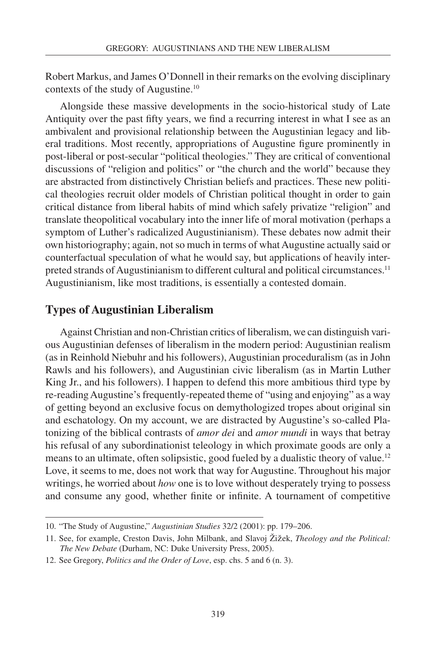Robert Markus, and James O'Donnell in their remarks on the evolving disciplinary contexts of the study of Augustine.10

Alongside these massive developments in the socio-historical study of Late Antiquity over the past fifty years, we find a recurring interest in what I see as an ambivalent and provisional relationship between the Augustinian legacy and liberal traditions. Most recently, appropriations of Augustine figure prominently in post-liberal or post-secular "political theologies." They are critical of conventional discussions of "religion and politics" or "the church and the world" because they are abstracted from distinctively Christian beliefs and practices. These new political theologies recruit older models of Christian political thought in order to gain critical distance from liberal habits of mind which safely privatize "religion" and translate theopolitical vocabulary into the inner life of moral motivation (perhaps a symptom of Luther's radicalized Augustinianism). These debates now admit their own historiography; again, not so much in terms of what Augustine actually said or counterfactual speculation of what he would say, but applications of heavily interpreted strands of Augustinianism to different cultural and political circumstances.11 Augustinianism, like most traditions, is essentially a contested domain.

#### **Types of Augustinian Liberalism**

Against Christian and non-Christian critics of liberalism, we can distinguish various Augustinian defenses of liberalism in the modern period: Augustinian realism (as in Reinhold Niebuhr and his followers), Augustinian proceduralism (as in John Rawls and his followers), and Augustinian civic liberalism (as in Martin Luther King Jr., and his followers). I happen to defend this more ambitious third type by re-reading Augustine's frequently-repeated theme of "using and enjoying" as a way of getting beyond an exclusive focus on demythologized tropes about original sin and eschatology. On my account, we are distracted by Augustine's so-called Platonizing of the biblical contrasts of *amor dei* and *amor mundi* in ways that betray his refusal of any subordinationist teleology in which proximate goods are only a means to an ultimate, often solipsistic, good fueled by a dualistic theory of value.<sup>12</sup> Love, it seems to me, does not work that way for Augustine. Throughout his major writings, he worried about *how* one is to love without desperately trying to possess and consume any good, whether finite or infinite. A tournament of competitive

<sup>10.</sup> "The Study of Augustine," *Augustinian Studies* 32/2 (2001): pp. 179–206.

<sup>11.</sup> See, for example, Creston Davis, John Milbank, and Slavoj ŽiŽek, *Theology and the Political: The New Debate* (Durham, NC: Duke University Press, 2005).

<sup>12.</sup> See Gregory, *Politics and the Order of Love*, esp. chs. 5 and 6 (n. 3).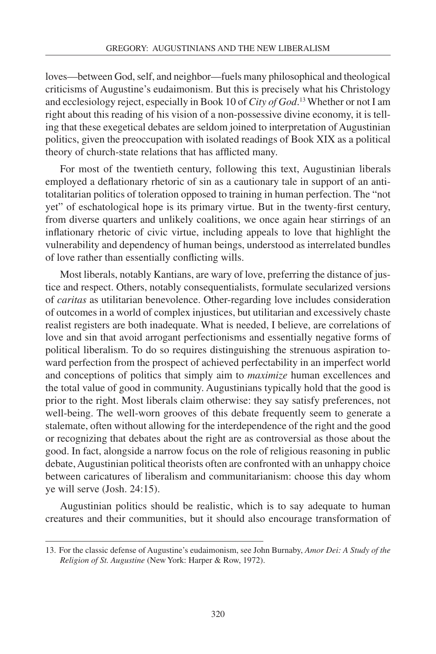loves—between God, self, and neighbor—fuels many philosophical and theological criticisms of Augustine's eudaimonism. But this is precisely what his Christology and ecclesiology reject, especially in Book 10 of *City of God*. 13 Whether or not I am right about this reading of his vision of a non-possessive divine economy, it is telling that these exegetical debates are seldom joined to interpretation of Augustinian politics, given the preoccupation with isolated readings of Book XIX as a political theory of church-state relations that has afflicted many.

For most of the twentieth century, following this text, Augustinian liberals employed a deflationary rhetoric of sin as a cautionary tale in support of an antitotalitarian politics of toleration opposed to training in human perfection. The "not yet" of eschatological hope is its primary virtue. But in the twenty-first century, from diverse quarters and unlikely coalitions, we once again hear stirrings of an inflationary rhetoric of civic virtue, including appeals to love that highlight the vulnerability and dependency of human beings, understood as interrelated bundles of love rather than essentially conflicting wills.

Most liberals, notably Kantians, are wary of love, preferring the distance of justice and respect. Others, notably consequentialists, formulate secularized versions of *caritas* as utilitarian benevolence. Other-regarding love includes consideration of outcomes in a world of complex injustices, but utilitarian and excessively chaste realist registers are both inadequate. What is needed, I believe, are correlations of love and sin that avoid arrogant perfectionisms and essentially negative forms of political liberalism. To do so requires distinguishing the strenuous aspiration toward perfection from the prospect of achieved perfectability in an imperfect world and conceptions of politics that simply aim to *maximize* human excellences and the total value of good in community. Augustinians typically hold that the good is prior to the right. Most liberals claim otherwise: they say satisfy preferences, not well-being. The well-worn grooves of this debate frequently seem to generate a stalemate, often without allowing for the interdependence of the right and the good or recognizing that debates about the right are as controversial as those about the good. In fact, alongside a narrow focus on the role of religious reasoning in public debate, Augustinian political theorists often are confronted with an unhappy choice between caricatures of liberalism and communitarianism: choose this day whom ye will serve (Josh. 24:15).

Augustinian politics should be realistic, which is to say adequate to human creatures and their communities, but it should also encourage transformation of

<sup>13.</sup> For the classic defense of Augustine's eudaimonism, see John Burnaby, *Amor Dei: A Study of the Religion of St. Augustine* (New York: Harper & Row, 1972).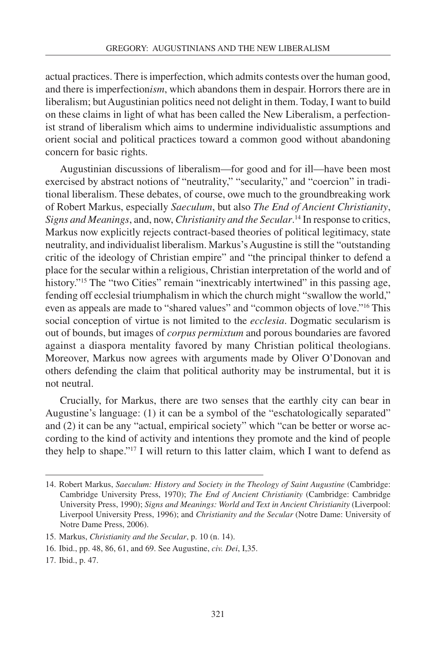actual practices. There is imperfection, which admits contests over the human good, and there is imperfection*ism*, which abandons them in despair. Horrors there are in liberalism; but Augustinian politics need not delight in them. Today, I want to build on these claims in light of what has been called the New Liberalism, a perfectionist strand of liberalism which aims to undermine individualistic assumptions and orient social and political practices toward a common good without abandoning concern for basic rights.

Augustinian discussions of liberalism—for good and for ill—have been most exercised by abstract notions of "neutrality," "secularity," and "coercion" in traditional liberalism. These debates, of course, owe much to the groundbreaking work of Robert Markus, especially *Saeculum*, but also *The End of Ancient Christianity*, *Signs and Meanings*, and, now, *Christianity and the Secular*. 14 In response to critics, Markus now explicitly rejects contract-based theories of political legitimacy, state neutrality, and individualist liberalism. Markus's Augustine is still the "outstanding critic of the ideology of Christian empire" and "the principal thinker to defend a place for the secular within a religious, Christian interpretation of the world and of history."<sup>15</sup> The "two Cities" remain "inextricably intertwined" in this passing age, fending off ecclesial triumphalism in which the church might "swallow the world," even as appeals are made to "shared values" and "common objects of love."16 This social conception of virtue is not limited to the *ecclesia*. Dogmatic secularism is out of bounds, but images of *corpus permixtum* and porous boundaries are favored against a diaspora mentality favored by many Christian political theologians. Moreover, Markus now agrees with arguments made by Oliver O'Donovan and others defending the claim that political authority may be instrumental, but it is not neutral.

Crucially, for Markus, there are two senses that the earthly city can bear in Augustine's language: (1) it can be a symbol of the "eschatologically separated" and (2) it can be any "actual, empirical society" which "can be better or worse according to the kind of activity and intentions they promote and the kind of people they help to shape."17 I will return to this latter claim, which I want to defend as

<sup>14.</sup> Robert Markus, *Saeculum: History and Society in the Theology of Saint Augustine* (Cambridge: Cambridge University Press, 1970); *The End of Ancient Christianity* (Cambridge: Cambridge University Press, 1990); *Signs and Meanings: World and Text in Ancient Christianity* (Liverpool: Liverpool University Press, 1996); and *Christianity and the Secular* (Notre Dame: University of Notre Dame Press, 2006).

<sup>15.</sup> Markus, *Christianity and the Secular*, p. 10 (n. 14).

<sup>16.</sup> Ibid., pp. 48, 86, 61, and 69. See Augustine, *civ. Dei*, I,35.

<sup>17.</sup> Ibid., p. 47.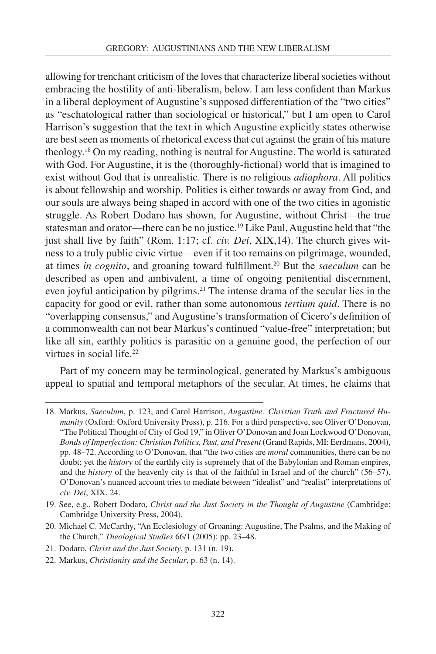allowing for trenchant criticism of the loves that characterize liberal societies without embracing the hostility of anti-liberalism, below. I am less confident than Markus in a liberal deployment of Augustine's supposed differentiation of the "two cities" as "eschatological rather than sociological or historical," but I am open to Carol Harrison's suggestion that the text in which Augustine explicitly states otherwise are best seen as moments of rhetorical excess that cut against the grain of his mature theology.18 On my reading, nothing is neutral for Augustine. The world is saturated with God. For Augustine, it is the (thoroughly-fictional) world that is imagined to exist without God that is unrealistic. There is no religious *adiaphora*. All politics is about fellowship and worship. Politics is either towards or away from God, and our souls are always being shaped in accord with one of the two cities in agonistic struggle. As Robert Dodaro has shown, for Augustine, without Christ—the true statesman and orator—there can be no justice.19 Like Paul, Augustine held that "the just shall live by faith" (Rom. 1:17; cf. *civ. Dei*, XIX,14). The church gives witness to a truly public civic virtue—even if it too remains on pilgrimage, wounded, at times *in cognito*, and groaning toward fulfillment.20 But the *saeculum* can be described as open and ambivalent, a time of ongoing penitential discernment, even joyful anticipation by pilgrims.<sup>21</sup> The intense drama of the secular lies in the capacity for good or evil, rather than some autonomous *tertium quid*. There is no "overlapping consensus," and Augustine's transformation of Cicero's definition of a commonwealth can not bear Markus's continued "value-free" interpretation; but like all sin, earthly politics is parasitic on a genuine good, the perfection of our virtues in social life.<sup>22</sup>

Part of my concern may be terminological, generated by Markus's ambiguous appeal to spatial and temporal metaphors of the secular. At times, he claims that

<sup>18.</sup> Markus, *Saeculum*, p. 123, and Carol Harrison, *Augustine: Christian Truth and Fractured Humanity* (Oxford: Oxford University Press), p. 216. For a third perspective, see Oliver O'Donovan, "The Political Thought of City of God 19," in Oliver O'Donovan and Joan Lockwood O'Donovan, *Bonds of Imperfection: Christian Politics, Past, and Present* (Grand Rapids, MI: Eerdmans, 2004), pp. 48–72. According to O'Donovan, that "the two cities are *moral* communities, there can be no doubt; yet the *history* of the earthly city is supremely that of the Babylonian and Roman empires, and the *history* of the heavenly city is that of the faithful in Israel and of the church" (56–57). O'Donovan's nuanced account tries to mediate between "idealist" and "realist" interpretations of *civ. Dei*, XIX, 24.

<sup>19.</sup> See, e.g., Robert Dodaro, *Christ and the Just Society in the Thought of Augustine* (Cambridge: Cambridge University Press, 2004).

<sup>20.</sup> Michael C. McCarthy, "An Ecclesiology of Groaning: Augustine, The Psalms, and the Making of the Church," *Theological Studies* 66/1 (2005): pp. 23–48.

<sup>21.</sup> Dodaro, *Christ and the Just Society*, p. 131 (n. 19).

<sup>22.</sup> Markus, *Christianity and the Secular*, p. 63 (n. 14).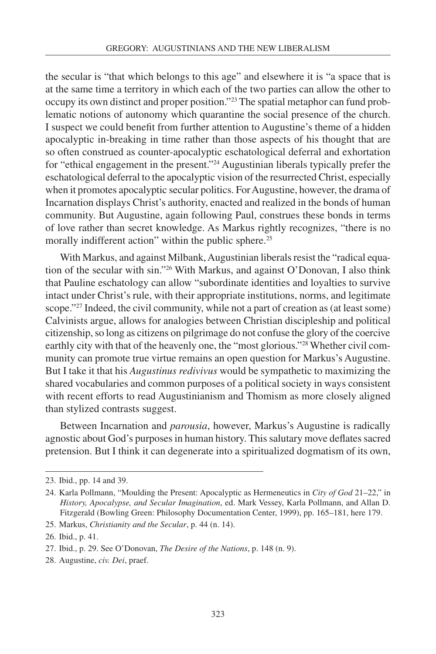the secular is "that which belongs to this age" and elsewhere it is "a space that is at the same time a territory in which each of the two parties can allow the other to occupy its own distinct and proper position."23 The spatial metaphor can fund problematic notions of autonomy which quarantine the social presence of the church. I suspect we could benefit from further attention to Augustine's theme of a hidden apocalyptic in-breaking in time rather than those aspects of his thought that are so often construed as counter-apocalyptic eschatological deferral and exhortation for "ethical engagement in the present."24 Augustinian liberals typically prefer the eschatological deferral to the apocalyptic vision of the resurrected Christ, especially when it promotes apocalyptic secular politics. For Augustine, however, the drama of Incarnation displays Christ's authority, enacted and realized in the bonds of human community. But Augustine, again following Paul, construes these bonds in terms of love rather than secret knowledge. As Markus rightly recognizes, "there is no morally indifferent action" within the public sphere.<sup>25</sup>

With Markus, and against Milbank, Augustinian liberals resist the "radical equation of the secular with sin."26 With Markus, and against O'Donovan, I also think that Pauline eschatology can allow "subordinate identities and loyalties to survive intact under Christ's rule, with their appropriate institutions, norms, and legitimate scope."<sup>27</sup> Indeed, the civil community, while not a part of creation as (at least some) Calvinists argue, allows for analogies between Christian discipleship and political citizenship, so long as citizens on pilgrimage do not confuse the glory of the coercive earthly city with that of the heavenly one, the "most glorious."28 Whether civil community can promote true virtue remains an open question for Markus's Augustine. But I take it that his *Augustinus redivivus* would be sympathetic to maximizing the shared vocabularies and common purposes of a political society in ways consistent with recent efforts to read Augustinianism and Thomism as more closely aligned than stylized contrasts suggest.

Between Incarnation and *parousia*, however, Markus's Augustine is radically agnostic about God's purposes in human history. This salutary move deflates sacred pretension. But I think it can degenerate into a spiritualized dogmatism of its own,

<sup>23.</sup> Ibid., pp. 14 and 39.

<sup>24.</sup> Karla Pollmann, "Moulding the Present: Apocalyptic as Hermeneutics in *City of God* 21–22," in *History, Apocalypse, and Secular Imagination*, ed. Mark Vessey, Karla Pollmann, and Allan D. Fitzgerald (Bowling Green: Philosophy Documentation Center, 1999), pp. 165–181, here 179.

<sup>25.</sup> Markus, *Christianity and the Secular*, p. 44 (n. 14).

<sup>26.</sup> Ibid., p. 41.

<sup>27.</sup> Ibid., p. 29. See O'Donovan, *The Desire of the Nations*, p. 148 (n. 9).

<sup>28.</sup> Augustine, *civ. Dei*, praef.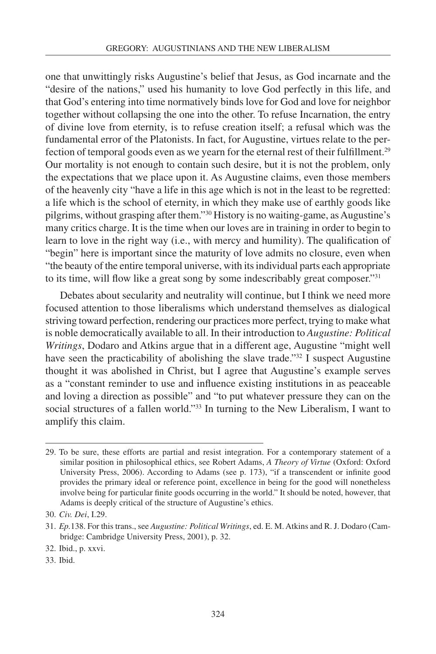one that unwittingly risks Augustine's belief that Jesus, as God incarnate and the "desire of the nations," used his humanity to love God perfectly in this life, and that God's entering into time normatively binds love for God and love for neighbor together without collapsing the one into the other. To refuse Incarnation, the entry of divine love from eternity, is to refuse creation itself; a refusal which was the fundamental error of the Platonists. In fact, for Augustine, virtues relate to the perfection of temporal goods even as we yearn for the eternal rest of their fulfillment.<sup>29</sup> Our mortality is not enough to contain such desire, but it is not the problem, only the expectations that we place upon it. As Augustine claims, even those members of the heavenly city "have a life in this age which is not in the least to be regretted: a life which is the school of eternity, in which they make use of earthly goods like pilgrims, without grasping after them."30 History is no waiting-game, as Augustine's many critics charge. It is the time when our loves are in training in order to begin to learn to love in the right way (i.e., with mercy and humility). The qualification of "begin" here is important since the maturity of love admits no closure, even when "the beauty of the entire temporal universe, with its individual parts each appropriate to its time, will flow like a great song by some indescribably great composer."31

Debates about secularity and neutrality will continue, but I think we need more focused attention to those liberalisms which understand themselves as dialogical striving toward perfection, rendering our practices more perfect, trying to make what is noble democratically available to all. In their introduction to *Augustine: Political Writings*, Dodaro and Atkins argue that in a different age, Augustine "might well have seen the practicability of abolishing the slave trade."<sup>32</sup> I suspect Augustine thought it was abolished in Christ, but I agree that Augustine's example serves as a "constant reminder to use and influence existing institutions in as peaceable and loving a direction as possible" and "to put whatever pressure they can on the social structures of a fallen world."33 In turning to the New Liberalism, I want to amplify this claim.

<sup>29.</sup> To be sure, these efforts are partial and resist integration. For a contemporary statement of a similar position in philosophical ethics, see Robert Adams, *A Theory of Virtue* (Oxford: Oxford University Press, 2006). According to Adams (see p. 173), "if a transcendent or infinite good provides the primary ideal or reference point, excellence in being for the good will nonetheless involve being for particular finite goods occurring in the world." It should be noted, however, that Adams is deeply critical of the structure of Augustine's ethics.

<sup>30.</sup> *Civ. Dei*, I.29.

<sup>31.</sup> *Ep.*138. For this trans., see *Augustine: Political Writings*, ed. E. M. Atkins and R. J. Dodaro (Cambridge: Cambridge University Press, 2001), p. 32.

<sup>32.</sup> Ibid., p. xxvi.

<sup>33.</sup> Ibid.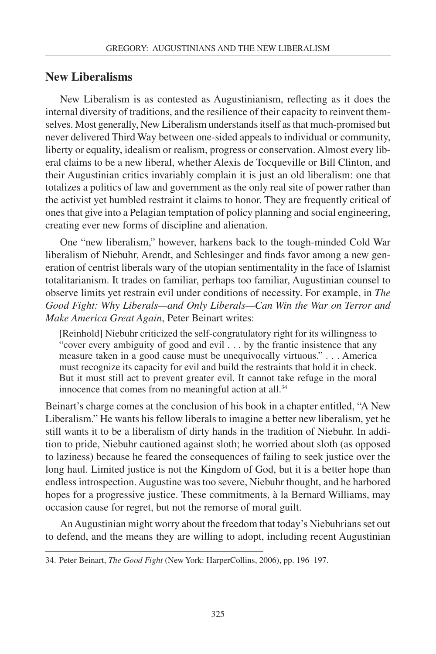#### **New Liberalisms**

New Liberalism is as contested as Augustinianism, reflecting as it does the internal diversity of traditions, and the resilience of their capacity to reinvent themselves. Most generally, New Liberalism understands itself as that much-promised but never delivered Third Way between one-sided appeals to individual or community, liberty or equality, idealism or realism, progress or conservation. Almost every liberal claims to be a new liberal, whether Alexis de Tocqueville or Bill Clinton, and their Augustinian critics invariably complain it is just an old liberalism: one that totalizes a politics of law and government as the only real site of power rather than the activist yet humbled restraint it claims to honor. They are frequently critical of ones that give into a Pelagian temptation of policy planning and social engineering, creating ever new forms of discipline and alienation.

One "new liberalism," however, harkens back to the tough-minded Cold War liberalism of Niebuhr, Arendt, and Schlesinger and finds favor among a new generation of centrist liberals wary of the utopian sentimentality in the face of Islamist totalitarianism. It trades on familiar, perhaps too familiar, Augustinian counsel to observe limits yet restrain evil under conditions of necessity. For example, in *The Good Fight: Why Liberals—and Only Liberals—Can Win the War on Terror and Make America Great Again*, Peter Beinart writes:

[Reinhold] Niebuhr criticized the self-congratulatory right for its willingness to "cover every ambiguity of good and evil . . . by the frantic insistence that any measure taken in a good cause must be unequivocally virtuous." . . . America must recognize its capacity for evil and build the restraints that hold it in check. But it must still act to prevent greater evil. It cannot take refuge in the moral innocence that comes from no meaningful action at all.<sup>34</sup>

Beinart's charge comes at the conclusion of his book in a chapter entitled, "A New Liberalism." He wants his fellow liberals to imagine a better new liberalism, yet he still wants it to be a liberalism of dirty hands in the tradition of Niebuhr. In addition to pride, Niebuhr cautioned against sloth; he worried about sloth (as opposed to laziness) because he feared the consequences of failing to seek justice over the long haul. Limited justice is not the Kingdom of God, but it is a better hope than endless introspection. Augustine was too severe, Niebuhr thought, and he harbored hopes for a progressive justice. These commitments, à la Bernard Williams, may occasion cause for regret, but not the remorse of moral guilt.

An Augustinian might worry about the freedom that today's Niebuhrians set out to defend, and the means they are willing to adopt, including recent Augustinian

<sup>34.</sup> Peter Beinart, *The Good Fight* (New York: HarperCollins, 2006), pp. 196–197.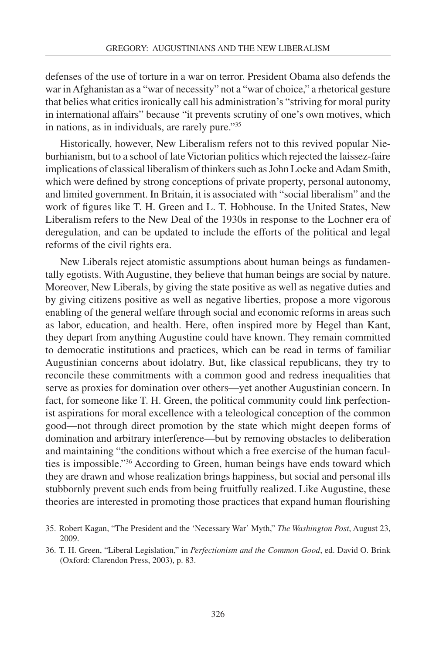defenses of the use of torture in a war on terror. President Obama also defends the war in Afghanistan as a "war of necessity" not a "war of choice," a rhetorical gesture that belies what critics ironically call his administration's "striving for moral purity in international affairs" because "it prevents scrutiny of one's own motives, which in nations, as in individuals, are rarely pure."35

Historically, however, New Liberalism refers not to this revived popular Nieburhianism, but to a school of late Victorian politics which rejected the laissez-faire implications of classical liberalism of thinkers such as John Locke and Adam Smith, which were defined by strong conceptions of private property, personal autonomy, and limited government. In Britain, it is associated with "social liberalism" and the work of figures like T. H. Green and L. T. Hobhouse. In the United States, New Liberalism refers to the New Deal of the 1930s in response to the Lochner era of deregulation, and can be updated to include the efforts of the political and legal reforms of the civil rights era.

New Liberals reject atomistic assumptions about human beings as fundamentally egotists. With Augustine, they believe that human beings are social by nature. Moreover, New Liberals, by giving the state positive as well as negative duties and by giving citizens positive as well as negative liberties, propose a more vigorous enabling of the general welfare through social and economic reforms in areas such as labor, education, and health. Here, often inspired more by Hegel than Kant, they depart from anything Augustine could have known. They remain committed to democratic institutions and practices, which can be read in terms of familiar Augustinian concerns about idolatry. But, like classical republicans, they try to reconcile these commitments with a common good and redress inequalities that serve as proxies for domination over others—yet another Augustinian concern. In fact, for someone like T. H. Green, the political community could link perfectionist aspirations for moral excellence with a teleological conception of the common good—not through direct promotion by the state which might deepen forms of domination and arbitrary interference—but by removing obstacles to deliberation and maintaining "the conditions without which a free exercise of the human faculties is impossible."36 According to Green, human beings have ends toward which they are drawn and whose realization brings happiness, but social and personal ills stubbornly prevent such ends from being fruitfully realized. Like Augustine, these theories are interested in promoting those practices that expand human flourishing

<sup>35.</sup> Robert Kagan, "The President and the 'Necessary War' Myth," *The Washington Post*, August 23, 2009.

<sup>36.</sup> T. H. Green, "Liberal Legislation," in *Perfectionism and the Common Good*, ed. David O. Brink (Oxford: Clarendon Press, 2003), p. 83.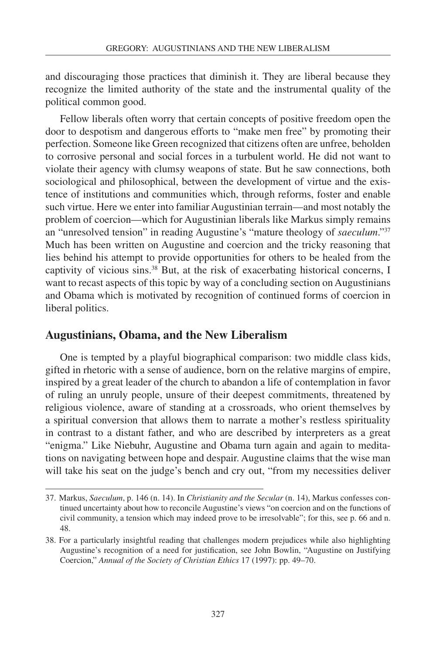and discouraging those practices that diminish it. They are liberal because they recognize the limited authority of the state and the instrumental quality of the political common good.

Fellow liberals often worry that certain concepts of positive freedom open the door to despotism and dangerous efforts to "make men free" by promoting their perfection. Someone like Green recognized that citizens often are unfree, beholden to corrosive personal and social forces in a turbulent world. He did not want to violate their agency with clumsy weapons of state. But he saw connections, both sociological and philosophical, between the development of virtue and the existence of institutions and communities which, through reforms, foster and enable such virtue. Here we enter into familiar Augustinian terrain—and most notably the problem of coercion—which for Augustinian liberals like Markus simply remains an "unresolved tension" in reading Augustine's "mature theology of *saeculum*."37 Much has been written on Augustine and coercion and the tricky reasoning that lies behind his attempt to provide opportunities for others to be healed from the captivity of vicious sins.38 But, at the risk of exacerbating historical concerns, I want to recast aspects of this topic by way of a concluding section on Augustinians and Obama which is motivated by recognition of continued forms of coercion in liberal politics.

## **Augustinians, Obama, and the New Liberalism**

One is tempted by a playful biographical comparison: two middle class kids, gifted in rhetoric with a sense of audience, born on the relative margins of empire, inspired by a great leader of the church to abandon a life of contemplation in favor of ruling an unruly people, unsure of their deepest commitments, threatened by religious violence, aware of standing at a crossroads, who orient themselves by a spiritual conversion that allows them to narrate a mother's restless spirituality in contrast to a distant father, and who are described by interpreters as a great "enigma." Like Niebuhr, Augustine and Obama turn again and again to meditations on navigating between hope and despair. Augustine claims that the wise man will take his seat on the judge's bench and cry out, "from my necessities deliver

<sup>37.</sup> Markus, *Saeculum*, p. 146 (n. 14). In *Christianity and the Secular* (n. 14), Markus confesses continued uncertainty about how to reconcile Augustine's views "on coercion and on the functions of civil community, a tension which may indeed prove to be irresolvable"; for this, see p. 66 and n. 48.

<sup>38.</sup> For a particularly insightful reading that challenges modern prejudices while also highlighting Augustine's recognition of a need for justification, see John Bowlin, "Augustine on Justifying Coercion," *Annual of the Society of Christian Ethics* 17 (1997): pp. 49–70.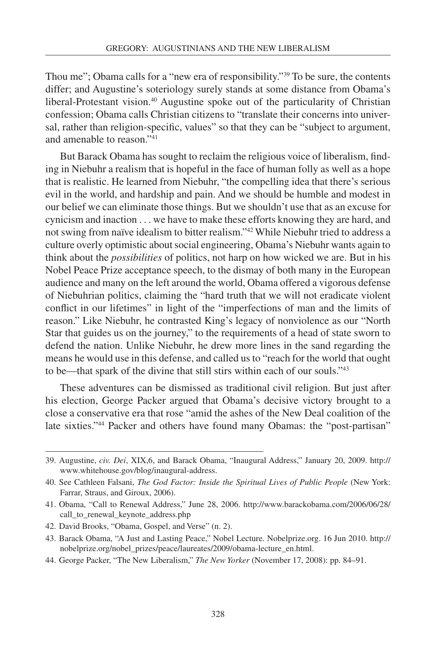Thou me"; Obama calls for a "new era of responsibility."<sup>39</sup> To be sure, the contents differ; and Augustine's soteriology surely stands at some distance from Obama's liberal-Protestant vision.<sup>40</sup> Augustine spoke out of the particularity of Christian confession; Obama calls Christian citizens to "translate their concerns into universal, rather than religion-specific, values" so that they can be "subject to argument, and amenable to reason."41

But Barack Obama has sought to reclaim the religious voice of liberalism, finding in Niebuhr a realism that is hopeful in the face of human folly as well as a hope that is realistic. He learned from Niebuhr, "the compelling idea that there's serious evil in the world, and hardship and pain. And we should be humble and modest in our belief we can eliminate those things. But we shouldn't use that as an excuse for cynicism and inaction . . . we have to make these efforts knowing they are hard, and not swing from naïve idealism to bitter realism."42 While Niebuhr tried to address a culture overly optimistic about social engineering, Obama's Niebuhr wants again to think about the *possibilities* of politics, not harp on how wicked we are. But in his Nobel Peace Prize acceptance speech, to the dismay of both many in the European audience and many on the left around the world, Obama offered a vigorous defense of Niebuhrian politics, claiming the "hard truth that we will not eradicate violent conflict in our lifetimes" in light of the "imperfections of man and the limits of reason." Like Niebuhr, he contrasted King's legacy of nonviolence as our "North Star that guides us on the journey," to the requirements of a head of state sworn to defend the nation. Unlike Niebuhr, he drew more lines in the sand regarding the means he would use in this defense, and called us to "reach for the world that ought to be—that spark of the divine that still stirs within each of our souls."43

These adventures can be dismissed as traditional civil religion. But just after his election, George Packer argued that Obama's decisive victory brought to a close a conservative era that rose "amid the ashes of the New Deal coalition of the late sixties."44 Packer and others have found many Obamas: the "post-partisan"

44. George Packer, "The New Liberalism," *The New Yorker* (November 17, 2008): pp. 84–91.

<sup>39.</sup> Augustine, *civ. Dei*, XIX,6, and Barack Obama, "Inaugural Address," January 20, 2009. http:// www.whitehouse.gov/blog/inaugural-address.

<sup>40.</sup> See Cathleen Falsani, *The God Factor: Inside the Spiritual Lives of Public People* (New York: Farrar, Straus, and Giroux, 2006).

<sup>41.</sup> Obama, "Call to Renewal Address," June 28, 2006. http://www.barackobama.com/2006/06/28/ call\_to\_renewal\_keynote\_address.php

<sup>42.</sup> David Brooks, "Obama, Gospel, and Verse" (n. 2).

<sup>43.</sup> Barack Obama, "A Just and Lasting Peace," Nobel Lecture. Nobelprize.org. 16 Jun 2010. http:// nobelprize.org/nobel\_prizes/peace/laureates/2009/obama-lecture\_en.html.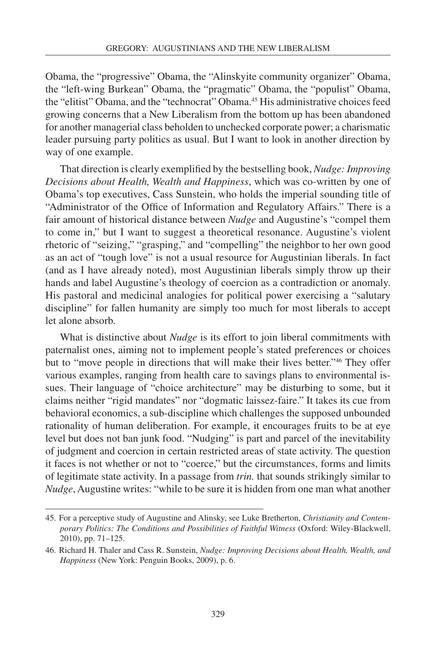Obama, the "progressive" Obama, the "Alinskyite community organizer" Obama, the "left-wing Burkean" Obama, the "pragmatic" Obama, the "populist" Obama, the "elitist" Obama, and the "technocrat" Obama.45 His administrative choices feed growing concerns that a New Liberalism from the bottom up has been abandoned for another managerial class beholden to unchecked corporate power; a charismatic leader pursuing party politics as usual. But I want to look in another direction by way of one example.

That direction is clearly exemplified by the bestselling book, *Nudge: Improving Decisions about Health, Wealth and Happiness*, which was co-written by one of Obama's top executives, Cass Sunstein, who holds the imperial sounding title of "Administrator of the Office of Information and Regulatory Affairs." There is a fair amount of historical distance between *Nudge* and Augustine's "compel them to come in," but I want to suggest a theoretical resonance. Augustine's violent rhetoric of "seizing," "grasping," and "compelling" the neighbor to her own good as an act of "tough love" is not a usual resource for Augustinian liberals. In fact (and as I have already noted), most Augustinian liberals simply throw up their hands and label Augustine's theology of coercion as a contradiction or anomaly. His pastoral and medicinal analogies for political power exercising a "salutary discipline" for fallen humanity are simply too much for most liberals to accept let alone absorb.

What is distinctive about *Nudge* is its effort to join liberal commitments with paternalist ones, aiming not to implement people's stated preferences or choices but to "move people in directions that will make their lives better."46 They offer various examples, ranging from health care to savings plans to environmental issues. Their language of "choice architecture" may be disturbing to some, but it claims neither "rigid mandates" nor "dogmatic laissez-faire." It takes its cue from behavioral economics, a sub-discipline which challenges the supposed unbounded rationality of human deliberation. For example, it encourages fruits to be at eye level but does not ban junk food. "Nudging" is part and parcel of the inevitability of judgment and coercion in certain restricted areas of state activity. The question it faces is not whether or not to "coerce," but the circumstances, forms and limits of legitimate state activity. In a passage from *trin.* that sounds strikingly similar to *Nudge*, Augustine writes: "while to be sure it is hidden from one man what another

<sup>45.</sup> For a perceptive study of Augustine and Alinsky, see Luke Bretherton, *Christianity and Contemporary Politics: The Conditions and Possibilities of Faithful Witness* (Oxford: Wiley-Blackwell, 2010), pp. 71–125.

<sup>46.</sup> Richard H. Thaler and Cass R. Sunstein, *Nudge: Improving Decisions about Health, Wealth, and Happiness* (New York: Penguin Books, 2009), p. 6.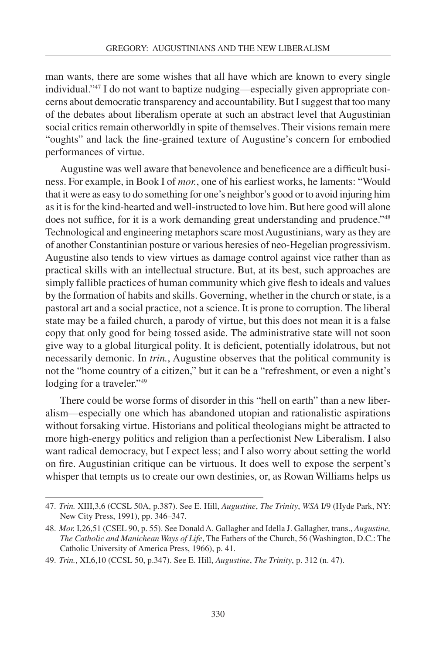man wants, there are some wishes that all have which are known to every single individual."47 I do not want to baptize nudging—especially given appropriate concerns about democratic transparency and accountability. But I suggest that too many of the debates about liberalism operate at such an abstract level that Augustinian social critics remain otherworldly in spite of themselves. Their visions remain mere "oughts" and lack the fine-grained texture of Augustine's concern for embodied performances of virtue.

Augustine was well aware that benevolence and beneficence are a difficult business. For example, in Book I of *mor.*, one of his earliest works, he laments: "Would that it were as easy to do something for one's neighbor's good or to avoid injuring him as it is for the kind-hearted and well-instructed to love him. But here good will alone does not suffice, for it is a work demanding great understanding and prudence."48 Technological and engineering metaphors scare most Augustinians, wary as they are of another Constantinian posture or various heresies of neo-Hegelian progressivism. Augustine also tends to view virtues as damage control against vice rather than as practical skills with an intellectual structure. But, at its best, such approaches are simply fallible practices of human community which give flesh to ideals and values by the formation of habits and skills. Governing, whether in the church or state, is a pastoral art and a social practice, not a science. It is prone to corruption. The liberal state may be a failed church, a parody of virtue, but this does not mean it is a false copy that only good for being tossed aside. The administrative state will not soon give way to a global liturgical polity. It is deficient, potentially idolatrous, but not necessarily demonic. In *trin.*, Augustine observes that the political community is not the "home country of a citizen," but it can be a "refreshment, or even a night's lodging for a traveler."<sup>49</sup>

There could be worse forms of disorder in this "hell on earth" than a new liberalism—especially one which has abandoned utopian and rationalistic aspirations without forsaking virtue. Historians and political theologians might be attracted to more high-energy politics and religion than a perfectionist New Liberalism. I also want radical democracy, but I expect less; and I also worry about setting the world on fire. Augustinian critique can be virtuous. It does well to expose the serpent's whisper that tempts us to create our own destinies, or, as Rowan Williams helps us

<sup>47.</sup> *Trin.* XIII,3,6 (CCSL 50A, p.387). See E. Hill, *Augustine*, *The Trinity*, *WSA* I/9 (Hyde Park, NY: New City Press, 1991), pp. 346–347.

<sup>48.</sup> *Mor.* I,26,51 (CSEL 90, p. 55). See Donald A. Gallagher and Idella J. Gallagher, trans., *Augustine, The Catholic and Manichean Ways of Life*, The Fathers of the Church, 56 (Washington, D.C.: The Catholic University of America Press, 1966), p. 41.

<sup>49.</sup> *Trin.*, XI,6,10 (CCSL 50, p.347). See E. Hill, *Augustine*, *The Trinity*, p. 312 (n. 47).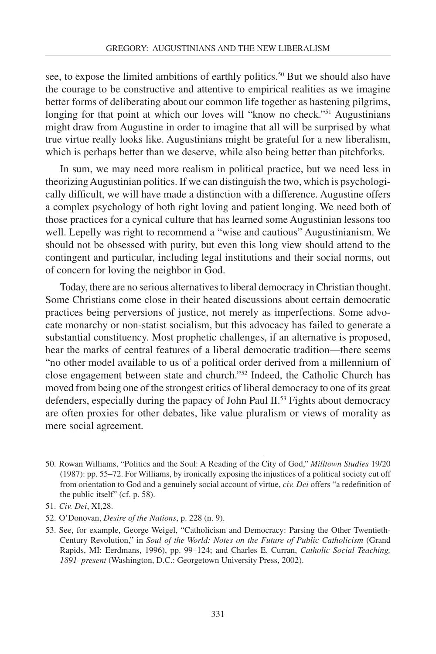see, to expose the limited ambitions of earthly politics.<sup>50</sup> But we should also have the courage to be constructive and attentive to empirical realities as we imagine better forms of deliberating about our common life together as hastening pilgrims, longing for that point at which our loves will "know no check."<sup>51</sup> Augustinians might draw from Augustine in order to imagine that all will be surprised by what true virtue really looks like. Augustinians might be grateful for a new liberalism, which is perhaps better than we deserve, while also being better than pitchforks.

In sum, we may need more realism in political practice, but we need less in theorizing Augustinian politics. If we can distinguish the two, which is psychologically difficult, we will have made a distinction with a difference. Augustine offers a complex psychology of both right loving and patient longing. We need both of those practices for a cynical culture that has learned some Augustinian lessons too well. Lepelly was right to recommend a "wise and cautious" Augustinianism. We should not be obsessed with purity, but even this long view should attend to the contingent and particular, including legal institutions and their social norms, out of concern for loving the neighbor in God.

Today, there are no serious alternatives to liberal democracy in Christian thought. Some Christians come close in their heated discussions about certain democratic practices being perversions of justice, not merely as imperfections. Some advocate monarchy or non-statist socialism, but this advocacy has failed to generate a substantial constituency. Most prophetic challenges, if an alternative is proposed, bear the marks of central features of a liberal democratic tradition—there seems "no other model available to us of a political order derived from a millennium of close engagement between state and church."52 Indeed, the Catholic Church has moved from being one of the strongest critics of liberal democracy to one of its great defenders, especially during the papacy of John Paul II.<sup>53</sup> Fights about democracy are often proxies for other debates, like value pluralism or views of morality as mere social agreement.

<sup>50.</sup> Rowan Williams, "Politics and the Soul: A Reading of the City of God," *Milltown Studies* 19/20 (1987): pp. 55–72. For Williams, by ironically exposing the injustices of a political society cut off from orientation to God and a genuinely social account of virtue, *civ. Dei* offers "a redefinition of the public itself" (cf. p. 58).

<sup>51.</sup> *Civ. Dei*, XI,28.

<sup>52.</sup> O'Donovan, *Desire of the Nations*, p. 228 (n. 9).

<sup>53.</sup> See, for example, George Weigel, "Catholicism and Democracy: Parsing the Other Twentieth-Century Revolution," in *Soul of the World: Notes on the Future of Public Catholicism* (Grand Rapids, MI: Eerdmans, 1996), pp. 99–124; and Charles E. Curran, *Catholic Social Teaching, 1891–present* (Washington, D.C.: Georgetown University Press, 2002).